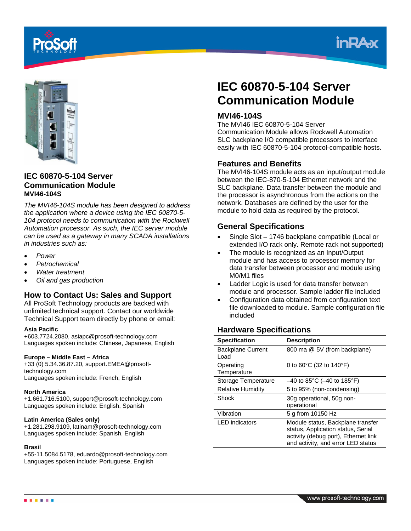





### **IEC 60870-5-104 Server Communication Module MVI46-104S**

*The MVI46-104S module has been designed to address the application where a device using the IEC 60870-5- 104 protocol needs to communication with the Rockwell Automation processor. As such, the IEC server module can be used as a gateway in many SCADA installations in industries such as:* 

- *Power*
- *Petrochemical*
- *Water treatment*
- *Oil and gas production*

# **How to Contact Us: Sales and Support**

All ProSoft Technology products are backed with unlimited technical support. Contact our worldwide Technical Support team directly by phone or email:

#### **Asia Pacific**

+603.7724.2080, asiapc@prosoft-technology.com Languages spoken include: Chinese, Japanese, English

#### **Europe – Middle East – Africa**

+33 (0) 5.34.36.87.20, support.EMEA@prosofttechnology.com Languages spoken include: French, English

#### **North America**

+1.661.716.5100, support@prosoft-technology.com Languages spoken include: English, Spanish

#### **Latin America (Sales only)**

+1.281.298.9109, latinam@prosoft-technology.com Languages spoken include: Spanish, English

#### **Brasil**

+55-11.5084.5178, eduardo@prosoft-technology.com Languages spoken include: Portuguese, English

# **IEC 60870-5-104 Server Communication Module**

## **MVI46-104S**

The MVI46 IEC 60870-5-104 Server Communication Module allows Rockwell Automation SLC backplane I/O compatible processors to interface easily with IEC 60870-5-104 protocol-compatible hosts.

### **Features and Benefits**

The MVI46-104S module acts as an input/output module between the IEC-870-5-104 Ethernet network and the SLC backplane. Data transfer between the module and the processor is asynchronous from the actions on the network. Databases are defined by the user for the module to hold data as required by the protocol.

## **General Specifications**

- Single Slot 1746 backplane compatible (Local or extended I/O rack only. Remote rack not supported)
- The module is recognized as an Input/Output module and has access to processor memory for data transfer between processor and module using M0/M1 files
- Ladder Logic is used for data transfer between module and processor. Sample ladder file included
- Configuration data obtained from configuration text file downloaded to module. Sample configuration file included

# **Hardware Specifications**

| <b>Specification</b>             | <b>Description</b>                                                                                                                                    |
|----------------------------------|-------------------------------------------------------------------------------------------------------------------------------------------------------|
| <b>Backplane Current</b><br>Load | 800 ma @ 5V (from backplane)                                                                                                                          |
| Operating<br>Temperature         | 0 to $60^{\circ}$ C (32 to $140^{\circ}$ F)                                                                                                           |
| Storage Temperature              | $-40$ to 85°C ( $-40$ to 185°F)                                                                                                                       |
| <b>Relative Humidity</b>         | 5 to 95% (non-condensing)                                                                                                                             |
| Shock                            | 30g operational, 50g non-<br>operational                                                                                                              |
| Vibration                        | 5 g from 10150 Hz                                                                                                                                     |
| <b>LED</b> indicators            | Module status, Backplane transfer<br>status, Application status, Serial<br>activity (debug port), Ethernet link<br>and activity, and error LED status |